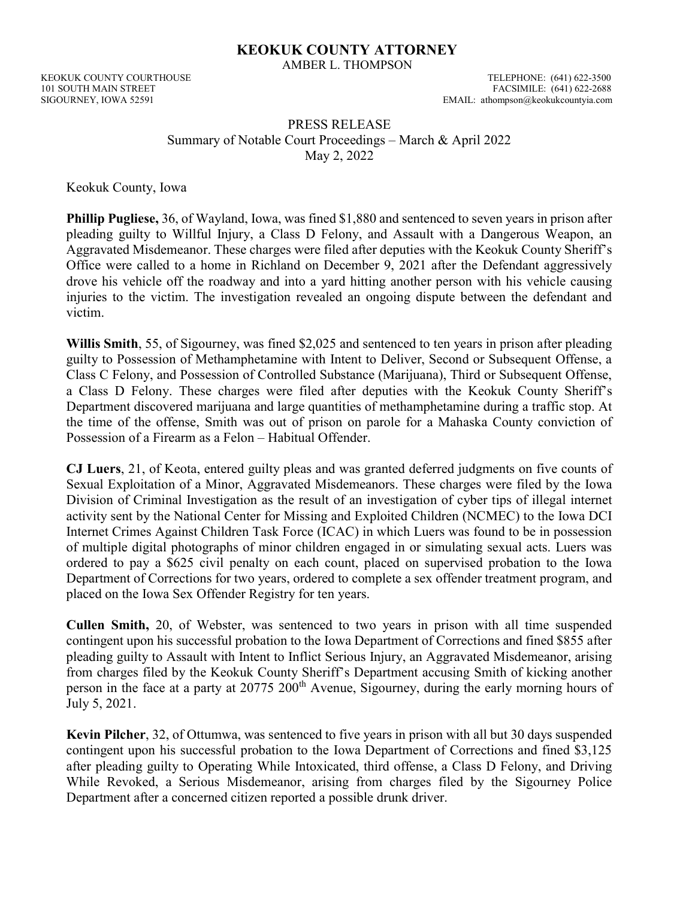## KEOKUK COUNTY ATTORNEY

AMBER L. THOMPSON

KEOKUK COUNTY COURTHOUSE TELEPHONE: (641) 622-3500

101 SOUTH MAIN STREET<br>
101 SOUTH MAIN STREET<br>
FACSIMILE: (641) 622-2688<br>
EMAIL: athompson@keokukcountyia.com EMAIL: athompson@keokukcountyia.com

## PRESS RELEASE Summary of Notable Court Proceedings – March & April 2022 May 2, 2022

Keokuk County, Iowa

Phillip Pugliese, 36, of Wayland, Iowa, was fined \$1,880 and sentenced to seven years in prison after pleading guilty to Willful Injury, a Class D Felony, and Assault with a Dangerous Weapon, an Aggravated Misdemeanor. These charges were filed after deputies with the Keokuk County Sheriff's Office were called to a home in Richland on December 9, 2021 after the Defendant aggressively drove his vehicle off the roadway and into a yard hitting another person with his vehicle causing injuries to the victim. The investigation revealed an ongoing dispute between the defendant and victim.

Willis Smith, 55, of Sigourney, was fined \$2,025 and sentenced to ten years in prison after pleading guilty to Possession of Methamphetamine with Intent to Deliver, Second or Subsequent Offense, a Class C Felony, and Possession of Controlled Substance (Marijuana), Third or Subsequent Offense, a Class D Felony. These charges were filed after deputies with the Keokuk County Sheriff's Department discovered marijuana and large quantities of methamphetamine during a traffic stop. At the time of the offense, Smith was out of prison on parole for a Mahaska County conviction of Possession of a Firearm as a Felon – Habitual Offender.

CJ Luers, 21, of Keota, entered guilty pleas and was granted deferred judgments on five counts of Sexual Exploitation of a Minor, Aggravated Misdemeanors. These charges were filed by the Iowa Division of Criminal Investigation as the result of an investigation of cyber tips of illegal internet activity sent by the National Center for Missing and Exploited Children (NCMEC) to the Iowa DCI Internet Crimes Against Children Task Force (ICAC) in which Luers was found to be in possession of multiple digital photographs of minor children engaged in or simulating sexual acts. Luers was ordered to pay a \$625 civil penalty on each count, placed on supervised probation to the Iowa Department of Corrections for two years, ordered to complete a sex offender treatment program, and placed on the Iowa Sex Offender Registry for ten years.

Cullen Smith, 20, of Webster, was sentenced to two years in prison with all time suspended contingent upon his successful probation to the Iowa Department of Corrections and fined \$855 after pleading guilty to Assault with Intent to Inflict Serious Injury, an Aggravated Misdemeanor, arising from charges filed by the Keokuk County Sheriff's Department accusing Smith of kicking another person in the face at a party at 20775 200<sup>th</sup> Avenue, Sigourney, during the early morning hours of July 5, 2021.

Kevin Pilcher, 32, of Ottumwa, was sentenced to five years in prison with all but 30 days suspended contingent upon his successful probation to the Iowa Department of Corrections and fined \$3,125 after pleading guilty to Operating While Intoxicated, third offense, a Class D Felony, and Driving While Revoked, a Serious Misdemeanor, arising from charges filed by the Sigourney Police Department after a concerned citizen reported a possible drunk driver.